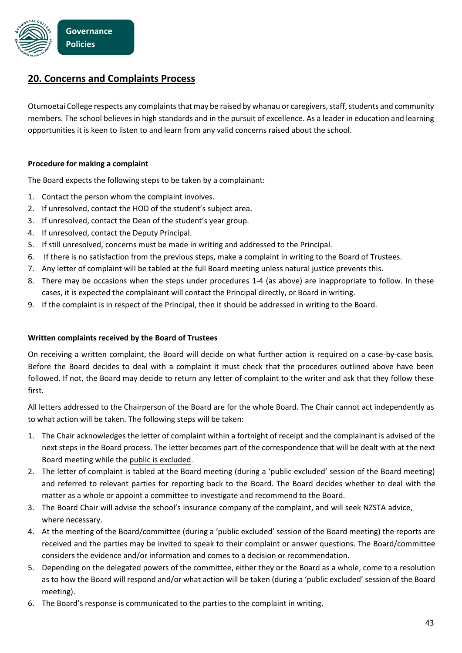

## **20. Concerns and Complaints Process**

Otumoetai College respects any complaints that may be raised by whanau or caregivers, staff, students and community members. The school believes in high standards and in the pursuit of excellence. As a leader in education and learning opportunities it is keen to listen to and learn from any valid concerns raised about the school.

## **Procedure for making a complaint**

The Board expects the following steps to be taken by a complainant:

- 1. Contact the person whom the complaint involves.
- 2. If unresolved, contact the HOD of the student's subject area.
- 3. If unresolved, contact the Dean of the student's year group.
- 4. If unresolved, contact the Deputy Principal.
- 5. If still unresolved, concerns must be made in writing and addressed to the Principal.
- 6. If there is no satisfaction from the previous steps, make a complaint in writing to the Board of Trustees.
- 7. Any letter of complaint will be tabled at the full Board meeting unless natural justice prevents this.
- 8. There may be occasions when the steps under procedures 1-4 (as above) are inappropriate to follow. In these cases, it is expected the complainant will contact the Principal directly, or Board in writing.
- 9. If the complaint is in respect of the Principal, then it should be addressed in writing to the Board.

## **Written complaints received by the Board of Trustees**

On receiving a written complaint, the Board will decide on what further action is required on a case-by-case basis. Before the Board decides to deal with a complaint it must check that the procedures outlined above have been followed. If not, the Board may decide to return any letter of complaint to the writer and ask that they follow these first.

All letters addressed to the Chairperson of the Board are for the whole Board. The Chair cannot act independently as to what action will be taken. The following steps will be taken:

- 1. The Chair acknowledges the letter of complaint within a fortnight of receipt and the complainant is advised of the next steps in the Board process. The letter becomes part of the correspondence that will be dealt with at the next Board meeting while the public is excluded.
- 2. The letter of complaint is tabled at the Board meeting (during a 'public excluded' session of the Board meeting) and referred to relevant parties for reporting back to the Board. The Board decides whether to deal with the matter as a whole or appoint a committee to investigate and recommend to the Board.
- 3. The Board Chair will advise the school's insurance company of the complaint, and will seek NZSTA advice, where necessary.
- 4. At the meeting of the Board/committee (during a 'public excluded' session of the Board meeting) the reports are received and the parties may be invited to speak to their complaint or answer questions. The Board/committee considers the evidence and/or information and comes to a decision or recommendation.
- 5. Depending on the delegated powers of the committee, either they or the Board as a whole, come to a resolution as to how the Board will respond and/or what action will be taken (during a 'public excluded' session of the Board meeting).
- 6. The Board's response is communicated to the parties to the complaint in writing.